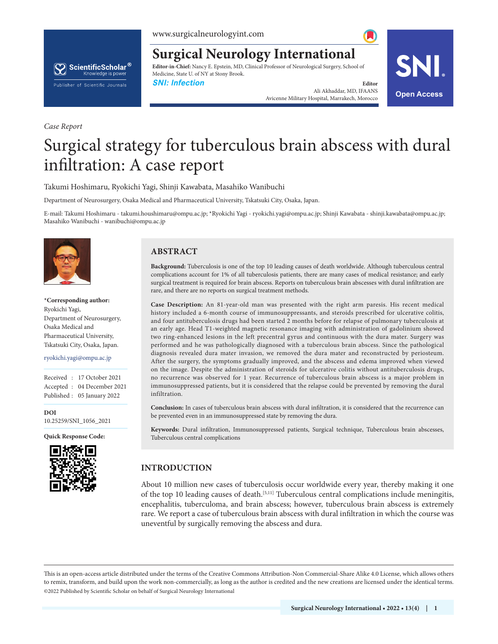www.surgicalneurologyint.com

# ScientificScholar® Knowledge is power Publisher of Scientific Journals

**Editor-in-Chief:** Nancy E. Epstein, MD, Clinical Professor of Neurological Surgery, School of Medicine, State U. of NY at Stony Brook.

**Surgical Neurology International**

**SNI: Infection Editor Editor Editor Editor** Ali Akhaddar, MD, IFAANS All Akhaddar, MD, IFAANS<br>Avicenne Military Hospital, Marrakech, Morocco **Open Access** 



# Surgical strategy for tuberculous brain abscess with dural infiltration: A case report

Takumi Hoshimaru, Ryokichi Yagi, Shinji Kawabata, Masahiko Wanibuchi

Department of Neurosurgery, Osaka Medical and Pharmaceutical University, Tskatsuki City, Osaka, Japan.

E-mail: Takumi Hoshimaru - takumi.houshimaru@ompu.ac.jp; \*Ryokichi Yagi - ryokichi.yagi@ompu.ac.jp; Shinji Kawabata - shinji.kawabata@ompu.ac.jp; Masahiko Wanibuchi - wanibuchi@ompu.ac.jp



*Case Report*

**\*Corresponding author:** Ryokichi Yagi, Department of Neurosurgery, Osaka Medical and Pharmaceutical University, Tskatsuki City, Osaka, Japan.

ryokichi.yagi@ompu.ac.jp

Received : 17 October 2021 Accepted : 04 December 2021 Published : 05 January 2022

**DOI** 10.25259/SNI\_1056\_2021

**Quick Response Code:**



# **ABSTRACT**

**Background:** Tuberculosis is one of the top 10 leading causes of death worldwide. Although tuberculous central complications account for 1% of all tuberculosis patients, there are many cases of medical resistance; and early surgical treatment is required for brain abscess. Reports on tuberculous brain abscesses with dural infiltration are rare, and there are no reports on surgical treatment methods.

**Case Description:** An 81-year-old man was presented with the right arm paresis. His recent medical history included a 6-month course of immunosuppressants, and steroids prescribed for ulcerative colitis, and four antituberculosis drugs had been started 2 months before for relapse of pulmonary tuberculosis at an early age. Head T1-weighted magnetic resonance imaging with administration of gadolinium showed two ring-enhanced lesions in the left precentral gyrus and continuous with the dura mater. Surgery was performed and he was pathologically diagnosed with a tuberculous brain abscess. Since the pathological diagnosis revealed dura mater invasion, we removed the dura mater and reconstructed by periosteum. After the surgery, the symptoms gradually improved, and the abscess and edema improved when viewed on the image. Despite the administration of steroids for ulcerative colitis without antituberculosis drugs, no recurrence was observed for 1 year. Recurrence of tuberculous brain abscess is a major problem in immunosuppressed patients, but it is considered that the relapse could be prevented by removing the dural infiltration.

**Conclusion:** In cases of tuberculous brain abscess with dural infiltration, it is considered that the recurrence can be prevented even in an immunosuppressed state by removing the dura.

**Keywords:** Dural infiltration, Immunosuppressed patients, Surgical technique, Tuberculous brain abscesses, Tuberculous central complications

# **INTRODUCTION**

About 10 million new cases of tuberculosis occur worldwide every year, thereby making it one of the top 10 leading causes of death.<sup>[5,11]</sup> Tuberculous central complications include meningitis, encephalitis, tuberculoma, and brain abscess; however, tuberculous brain abscess is extremely rare. We report a case of tuberculous brain abscess with dural infiltration in which the course was uneventful by surgically removing the abscess and dura.

is is an open-access article distributed under the terms of the Creative Commons Attribution-Non Commercial-Share Alike 4.0 License, which allows others to remix, transform, and build upon the work non-commercially, as long as the author is credited and the new creations are licensed under the identical terms. ©2022 Published by Scientific Scholar on behalf of Surgical Neurology International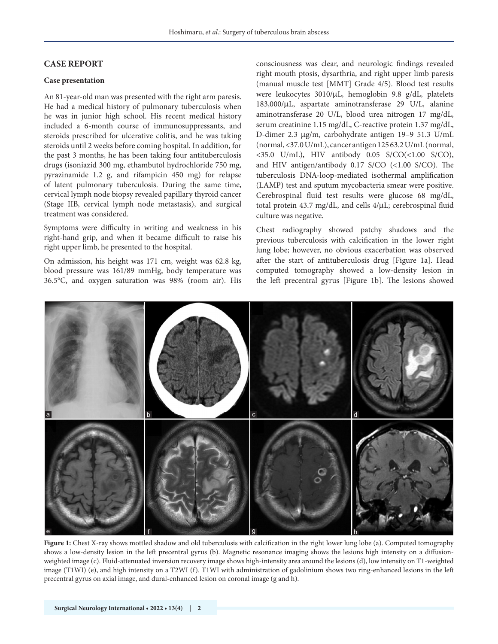# **CASE REPORT**

# **Case presentation**

An 81-year-old man was presented with the right arm paresis. He had a medical history of pulmonary tuberculosis when he was in junior high school. His recent medical history included a 6-month course of immunosuppressants, and steroids prescribed for ulcerative colitis, and he was taking steroids until 2 weeks before coming hospital. In addition, for the past 3 months, he has been taking four antituberculosis drugs (isoniazid 300 mg, ethambutol hydrochloride 750 mg, pyrazinamide 1.2 g, and rifampicin 450 mg) for relapse of latent pulmonary tuberculosis. During the same time, cervical lymph node biopsy revealed papillary thyroid cancer (Stage IIB, cervical lymph node metastasis), and surgical treatment was considered.

Symptoms were difficulty in writing and weakness in his right-hand grip, and when it became difficult to raise his right upper limb, he presented to the hospital.

On admission, his height was 171 cm, weight was 62.8 kg, blood pressure was 161/89 mmHg, body temperature was 36.5°C, and oxygen saturation was 98% (room air). His consciousness was clear, and neurologic findings revealed right mouth ptosis, dysarthria, and right upper limb paresis (manual muscle test [MMT] Grade 4/5). Blood test results were leukocytes 3010/μL, hemoglobin 9.8 g/dL, platelets 183,000/μL, aspartate aminotransferase 29 U/L, alanine aminotransferase 20 U/L, blood urea nitrogen 17 mg/dL, serum creatinine 1.15 mg/dL, C-reactive protein 1.37 mg/dL, D-dimer 2.3 μg/m, carbohydrate antigen 19–9 51.3 U/mL (normal, <37.0 U/mL), cancer antigen 125 63.2 U/mL (normal, <35.0 U/mL), HIV antibody 0.05 S/CO(<1.00 S/CO), and HIV antigen/antibody 0.17 S/CO (<1.00 S/CO). The tuberculosis DNA-loop-mediated isothermal amplification (LAMP) test and sputum mycobacteria smear were positive. Cerebrospinal fluid test results were glucose 68 mg/dL, total protein 43.7 mg/dL, and cells 4/μL; cerebrospinal fluid culture was negative.

Chest radiography showed patchy shadows and the previous tuberculosis with calcification in the lower right lung lobe; however, no obvious exacerbation was observed after the start of antituberculosis drug [Figure 1a]. Head computed tomography showed a low-density lesion in the left precentral gyrus [Figure 1b]. The lesions showed



**Figure 1:** Chest X-ray shows mottled shadow and old tuberculosis with calcification in the right lower lung lobe (a). Computed tomography shows a low-density lesion in the left precentral gyrus (b). Magnetic resonance imaging shows the lesions high intensity on a diffusionweighted image (c). Fluid-attenuated inversion recovery image shows high-intensity area around the lesions (d), low intensity on T1-weighted image (T1WI) (e), and high intensity on a T2WI (f). T1WI with administration of gadolinium shows two ring-enhanced lesions in the left precentral gyrus on axial image, and dural-enhanced lesion on coronal image (g and h).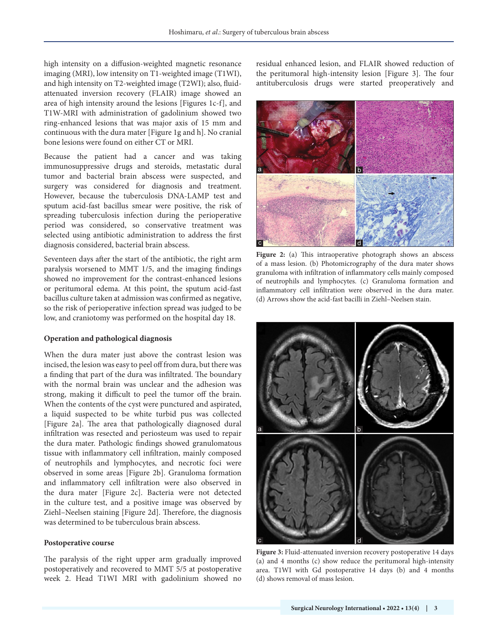high intensity on a diffusion-weighted magnetic resonance imaging (MRI), low intensity on T1-weighted image (T1WI), and high intensity on T2-weighted image (T2WI); also, fluidattenuated inversion recovery (FLAIR) image showed an area of high intensity around the lesions [Figures 1c-f], and T1W-MRI with administration of gadolinium showed two ring-enhanced lesions that was major axis of 15 mm and continuous with the dura mater [Figure 1g and h]. No cranial bone lesions were found on either CT or MRI.

Because the patient had a cancer and was taking immunosuppressive drugs and steroids, metastatic dural tumor and bacterial brain abscess were suspected, and surgery was considered for diagnosis and treatment. However, because the tuberculosis DNA-LAMP test and sputum acid-fast bacillus smear were positive, the risk of spreading tuberculosis infection during the perioperative period was considered, so conservative treatment was selected using antibiotic administration to address the first diagnosis considered, bacterial brain abscess.

Seventeen days after the start of the antibiotic, the right arm paralysis worsened to MMT 1/5, and the imaging findings showed no improvement for the contrast-enhanced lesions or peritumoral edema. At this point, the sputum acid-fast bacillus culture taken at admission was confirmed as negative, so the risk of perioperative infection spread was judged to be low, and craniotomy was performed on the hospital day 18.

# **Operation and pathological diagnosis**

When the dura mater just above the contrast lesion was incised, the lesion was easy to peel off from dura, but there was a finding that part of the dura was infiltrated. The boundary with the normal brain was unclear and the adhesion was strong, making it difficult to peel the tumor off the brain. When the contents of the cyst were punctured and aspirated, a liquid suspected to be white turbid pus was collected [Figure 2a]. The area that pathologically diagnosed dural infiltration was resected and periosteum was used to repair the dura mater. Pathologic findings showed granulomatous tissue with inflammatory cell infiltration, mainly composed of neutrophils and lymphocytes, and necrotic foci were observed in some areas [Figure 2b]. Granuloma formation and inflammatory cell infiltration were also observed in the dura mater [Figure 2c]. Bacteria were not detected in the culture test, and a positive image was observed by Ziehl–Neelsen staining [Figure 2d]. Therefore, the diagnosis was determined to be tuberculous brain abscess.

#### **Postoperative course**

The paralysis of the right upper arm gradually improved postoperatively and recovered to MMT 5/5 at postoperative week 2. Head T1WI MRI with gadolinium showed no residual enhanced lesion, and FLAIR showed reduction of the peritumoral high-intensity lesion [Figure 3]. The four antituberculosis drugs were started preoperatively and



Figure 2: (a) This intraoperative photograph shows an abscess of a mass lesion. (b) Photomicrography of the dura mater shows granuloma with infiltration of inflammatory cells mainly composed of neutrophils and lymphocytes. (c) Granuloma formation and inflammatory cell infiltration were observed in the dura mater. (d) Arrows show the acid-fast bacilli in Ziehl–Neelsen stain.



**Figure 3:** Fluid-attenuated inversion recovery postoperative 14 days (a) and 4 months (c) show reduce the peritumoral high-intensity area. T1WI with Gd postoperative 14 days (b) and 4 months (d) shows removal of mass lesion.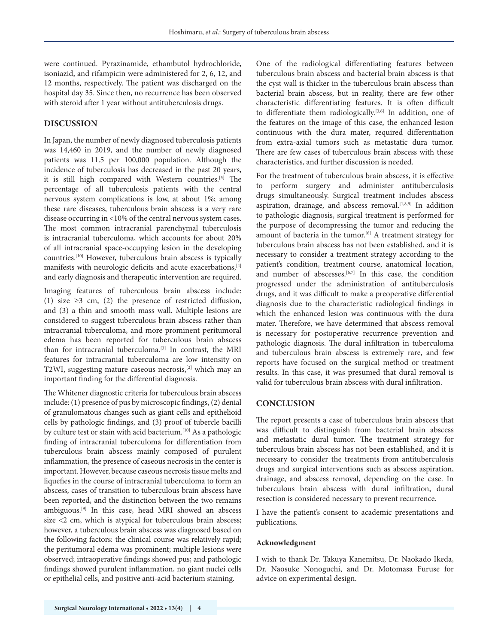were continued. Pyrazinamide, ethambutol hydrochloride, isoniazid, and rifampicin were administered for 2, 6, 12, and 12 months, respectively. The patient was discharged on the hospital day 35. Since then, no recurrence has been observed with steroid after 1 year without antituberculosis drugs.

# **DISCUSSION**

In Japan, the number of newly diagnosed tuberculosis patients was 14,460 in 2019, and the number of newly diagnosed patients was 11.5 per 100,000 population. Although the incidence of tuberculosis has decreased in the past 20 years, it is still high compared with Western countries.[5] The percentage of all tuberculosis patients with the central nervous system complications is low, at about 1%; among these rare diseases, tuberculous brain abscess is a very rare disease occurring in <10% of the central nervous system cases. The most common intracranial parenchymal tuberculosis is intracranial tuberculoma, which accounts for about 20% of all intracranial space-occupying lesion in the developing countries.[10] However, tuberculous brain abscess is typically manifests with neurologic deficits and acute exacerbations,[4] and early diagnosis and therapeutic intervention are required.

Imaging features of tuberculous brain abscess include: (1) size ≥3 cm, (2) the presence of restricted diffusion, and (3) a thin and smooth mass wall. Multiple lesions are considered to suggest tuberculous brain abscess rather than intracranial tuberculoma, and more prominent peritumoral edema has been reported for tuberculous brain abscess than for intracranial tuberculoma.[3] In contrast, the MRI features for intracranial tuberculoma are low intensity on T2WI, suggesting mature caseous necrosis,[2] which may an important finding for the differential diagnosis.

The Whitener diagnostic criteria for tuberculous brain abscess include: (1) presence of pus by microscopic findings, (2) denial of granulomatous changes such as giant cells and epithelioid cells by pathologic findings, and (3) proof of tubercle bacilli by culture test or stain with acid bacterium.<sup>[10]</sup> As a pathologic finding of intracranial tuberculoma for differentiation from tuberculous brain abscess mainly composed of purulent inflammation, the presence of caseous necrosis in the center is important. However, because caseous necrosis tissue melts and liquefies in the course of intracranial tuberculoma to form an abscess, cases of transition to tuberculous brain abscess have been reported, and the distinction between the two remains ambiguous.[9] In this case, head MRI showed an abscess size <2 cm, which is atypical for tuberculous brain abscess; however, a tuberculous brain abscess was diagnosed based on the following factors: the clinical course was relatively rapid; the peritumoral edema was prominent; multiple lesions were observed; intraoperative findings showed pus; and pathologic findings showed purulent inflammation, no giant nuclei cells or epithelial cells, and positive anti-acid bacterium staining.

One of the radiological differentiating features between tuberculous brain abscess and bacterial brain abscess is that the cyst wall is thicker in the tuberculous brain abscess than bacterial brain abscess, but in reality, there are few other characteristic differentiating features. It is often difficult to differentiate them radiologically.<sup>[3,6]</sup> In addition, one of the features on the image of this case, the enhanced lesion continuous with the dura mater, required differentiation from extra-axial tumors such as metastatic dura tumor. There are few cases of tuberculous brain abscess with these characteristics, and further discussion is needed.

For the treatment of tuberculous brain abscess, it is effective to perform surgery and administer antituberculosis drugs simultaneously. Surgical treatment includes abscess aspiration, drainage, and abscess removal.<sup>[1,8,9]</sup> In addition to pathologic diagnosis, surgical treatment is performed for the purpose of decompressing the tumor and reducing the amount of bacteria in the tumor.<sup>[6]</sup> A treatment strategy for tuberculous brain abscess has not been established, and it is necessary to consider a treatment strategy according to the patient's condition, treatment course, anatomical location, and number of abscesses. $[6,7]$  In this case, the condition progressed under the administration of antituberculosis drugs, and it was difficult to make a preoperative differential diagnosis due to the characteristic radiological findings in which the enhanced lesion was continuous with the dura mater. Therefore, we have determined that abscess removal is necessary for postoperative recurrence prevention and pathologic diagnosis. The dural infiltration in tuberculoma and tuberculous brain abscess is extremely rare, and few reports have focused on the surgical method or treatment results. In this case, it was presumed that dural removal is valid for tuberculous brain abscess with dural infiltration.

# **CONCLUSION**

The report presents a case of tuberculous brain abscess that was difficult to distinguish from bacterial brain abscess and metastatic dural tumor. The treatment strategy for tuberculous brain abscess has not been established, and it is necessary to consider the treatments from antituberculosis drugs and surgical interventions such as abscess aspiration, drainage, and abscess removal, depending on the case. In tuberculous brain abscess with dural infiltration, dural resection is considered necessary to prevent recurrence.

I have the patient's consent to academic presentations and publications.

# **Acknowledgment**

I wish to thank Dr. Takuya Kanemitsu, Dr. Naokado Ikeda, Dr. Naosuke Nonoguchi, and Dr. Motomasa Furuse for advice on experimental design.